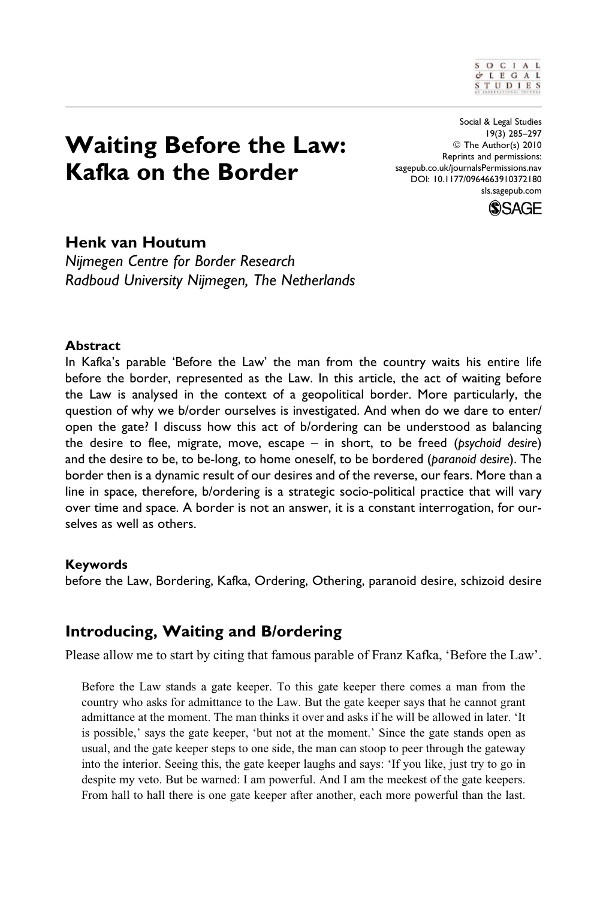# Waiting Before the Law: Kafka on the Border

Social & Legal Studies 19(3) 285–297 © The Author(s) 2010 Reprints and permissions: sagepub.co.uk/journalsPermissions.nav DOI: 10.1177/0964663910372180 sls.sagepub.com



## Henk van Houtum

Nijmegen Centre for Border Research Radboud University Nijmegen, The Netherlands

#### Abstract

In Kafka's parable 'Before the Law' the man from the country waits his entire life before the border, represented as the Law. In this article, the act of waiting before the Law is analysed in the context of a geopolitical border. More particularly, the question of why we b/order ourselves is investigated. And when do we dare to enter/ open the gate? I discuss how this act of b/ordering can be understood as balancing the desire to flee, migrate, move, escape – in short, to be freed (psychoid desire) and the desire to be, to be-long, to home oneself, to be bordered (paranoid desire). The border then is a dynamic result of our desires and of the reverse, our fears. More than a line in space, therefore, b/ordering is a strategic socio-political practice that will vary over time and space. A border is not an answer, it is a constant interrogation, for ourselves as well as others.

#### Keywords

before the Law, Bordering, Kafka, Ordering, Othering, paranoid desire, schizoid desire

## Introducing, Waiting and B/ordering

Please allow me to start by citing that famous parable of Franz Kafka, 'Before the Law'.

Before the Law stands a gate keeper. To this gate keeper there comes a man from the country who asks for admittance to the Law. But the gate keeper says that he cannot grant admittance at the moment. The man thinks it over and asks if he will be allowed in later. 'It is possible,' says the gate keeper, 'but not at the moment.' Since the gate stands open as usual, and the gate keeper steps to one side, the man can stoop to peer through the gateway into the interior. Seeing this, the gate keeper laughs and says: 'If you like, just try to go in despite my veto. But be warned: I am powerful. And I am the meekest of the gate keepers. From hall to hall there is one gate keeper after another, each more powerful than the last.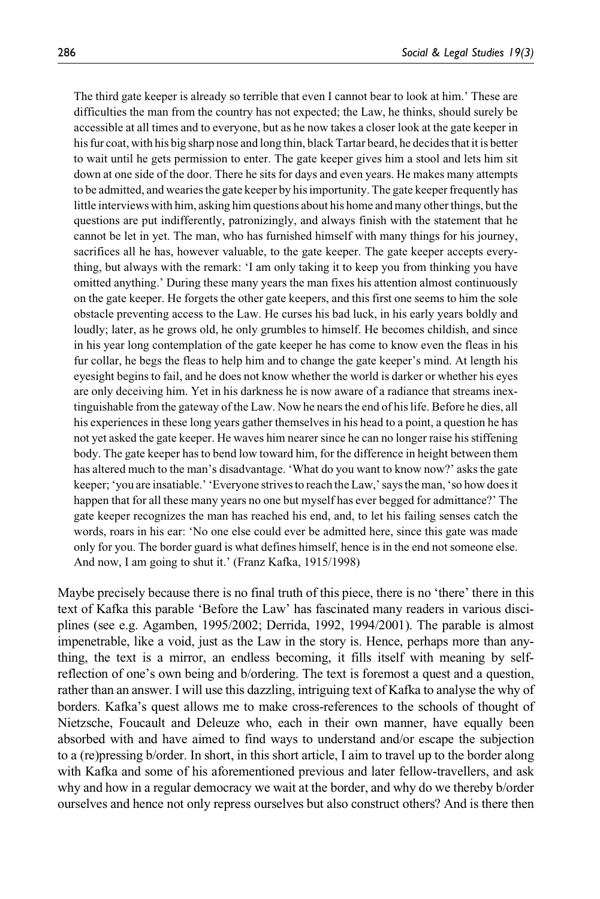The third gate keeper is already so terrible that even I cannot bear to look at him.' These are difficulties the man from the country has not expected; the Law, he thinks, should surely be accessible at all times and to everyone, but as he now takes a closer look at the gate keeper in his fur coat, with his big sharp nose and long thin, black Tartar beard, he decides that it is better to wait until he gets permission to enter. The gate keeper gives him a stool and lets him sit down at one side of the door. There he sits for days and even years. He makes many attempts to be admitted, and wearies the gate keeper by his importunity. The gate keeper frequently has little interviews with him, asking him questions about his home and many other things, but the questions are put indifferently, patronizingly, and always finish with the statement that he cannot be let in yet. The man, who has furnished himself with many things for his journey, sacrifices all he has, however valuable, to the gate keeper. The gate keeper accepts everything, but always with the remark: 'I am only taking it to keep you from thinking you have omitted anything.' During these many years the man fixes his attention almost continuously on the gate keeper. He forgets the other gate keepers, and this first one seems to him the sole obstacle preventing access to the Law. He curses his bad luck, in his early years boldly and loudly; later, as he grows old, he only grumbles to himself. He becomes childish, and since in his year long contemplation of the gate keeper he has come to know even the fleas in his fur collar, he begs the fleas to help him and to change the gate keeper's mind. At length his eyesight begins to fail, and he does not know whether the world is darker or whether his eyes are only deceiving him. Yet in his darkness he is now aware of a radiance that streams inextinguishable from the gateway of the Law. Now he nears the end of his life. Before he dies, all his experiences in these long years gather themselves in his head to a point, a question he has not yet asked the gate keeper. He waves him nearer since he can no longer raise his stiffening body. The gate keeper has to bend low toward him, for the difference in height between them has altered much to the man's disadvantage. 'What do you want to know now?' asks the gate keeper; 'you are insatiable.' 'Everyone strives to reach the Law,' says the man, 'so how does it happen that for all these many years no one but myself has ever begged for admittance?' The gate keeper recognizes the man has reached his end, and, to let his failing senses catch the words, roars in his ear: 'No one else could ever be admitted here, since this gate was made only for you. The border guard is what defines himself, hence is in the end not someone else. And now, I am going to shut it.' (Franz Kafka, 1915/1998)

Maybe precisely because there is no final truth of this piece, there is no 'there' there in this text of Kafka this parable 'Before the Law' has fascinated many readers in various disciplines (see e.g. Agamben, 1995/2002; Derrida, 1992, 1994/2001). The parable is almost impenetrable, like a void, just as the Law in the story is. Hence, perhaps more than anything, the text is a mirror, an endless becoming, it fills itself with meaning by selfreflection of one's own being and b/ordering. The text is foremost a quest and a question, rather than an answer. I will use this dazzling, intriguing text of Kafka to analyse the why of borders. Kafka's quest allows me to make cross-references to the schools of thought of Nietzsche, Foucault and Deleuze who, each in their own manner, have equally been absorbed with and have aimed to find ways to understand and/or escape the subjection to a (re)pressing b/order. In short, in this short article, I aim to travel up to the border along with Kafka and some of his aforementioned previous and later fellow-travellers, and ask why and how in a regular democracy we wait at the border, and why do we thereby b/order ourselves and hence not only repress ourselves but also construct others? And is there then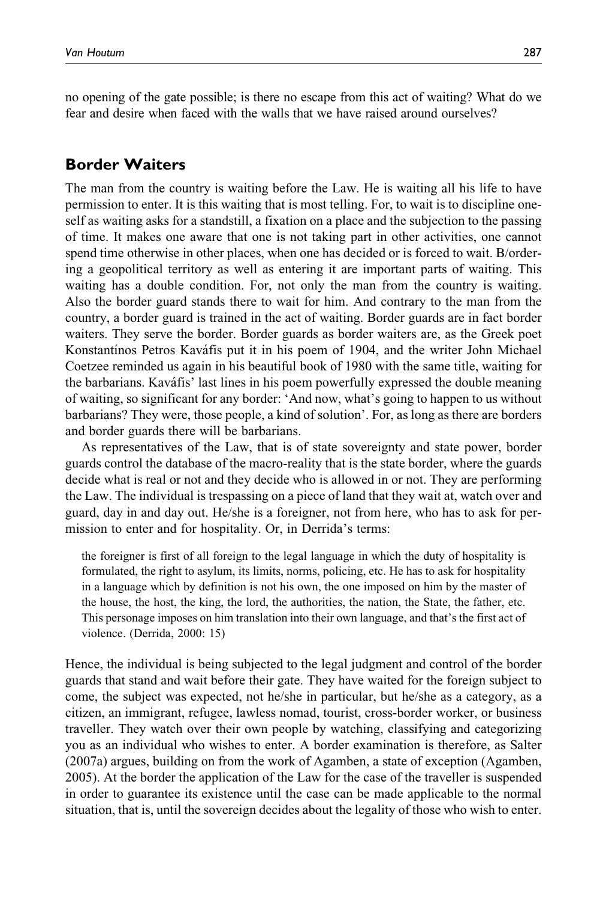no opening of the gate possible; is there no escape from this act of waiting? What do we fear and desire when faced with the walls that we have raised around ourselves?

## Border Waiters

The man from the country is waiting before the Law. He is waiting all his life to have permission to enter. It is this waiting that is most telling. For, to wait is to discipline oneself as waiting asks for a standstill, a fixation on a place and the subjection to the passing of time. It makes one aware that one is not taking part in other activities, one cannot spend time otherwise in other places, when one has decided or is forced to wait. B/ordering a geopolitical territory as well as entering it are important parts of waiting. This waiting has a double condition. For, not only the man from the country is waiting. Also the border guard stands there to wait for him. And contrary to the man from the country, a border guard is trained in the act of waiting. Border guards are in fact border waiters. They serve the border. Border guards as border waiters are, as the Greek poet Konstantinos Petros Kaváfis put it in his poem of 1904, and the writer John Michael Coetzee reminded us again in his beautiful book of 1980 with the same title, waiting for the barbarians. Kava´fis' last lines in his poem powerfully expressed the double meaning of waiting, so significant for any border: 'And now, what's going to happen to us without barbarians? They were, those people, a kind of solution'. For, as long as there are borders and border guards there will be barbarians.

As representatives of the Law, that is of state sovereignty and state power, border guards control the database of the macro-reality that is the state border, where the guards decide what is real or not and they decide who is allowed in or not. They are performing the Law. The individual is trespassing on a piece of land that they wait at, watch over and guard, day in and day out. He/she is a foreigner, not from here, who has to ask for permission to enter and for hospitality. Or, in Derrida's terms:

the foreigner is first of all foreign to the legal language in which the duty of hospitality is formulated, the right to asylum, its limits, norms, policing, etc. He has to ask for hospitality in a language which by definition is not his own, the one imposed on him by the master of the house, the host, the king, the lord, the authorities, the nation, the State, the father, etc. This personage imposes on him translation into their own language, and that's the first act of violence. (Derrida, 2000: 15)

Hence, the individual is being subjected to the legal judgment and control of the border guards that stand and wait before their gate. They have waited for the foreign subject to come, the subject was expected, not he/she in particular, but he/she as a category, as a citizen, an immigrant, refugee, lawless nomad, tourist, cross-border worker, or business traveller. They watch over their own people by watching, classifying and categorizing you as an individual who wishes to enter. A border examination is therefore, as Salter (2007a) argues, building on from the work of Agamben, a state of exception (Agamben, 2005). At the border the application of the Law for the case of the traveller is suspended in order to guarantee its existence until the case can be made applicable to the normal situation, that is, until the sovereign decides about the legality of those who wish to enter.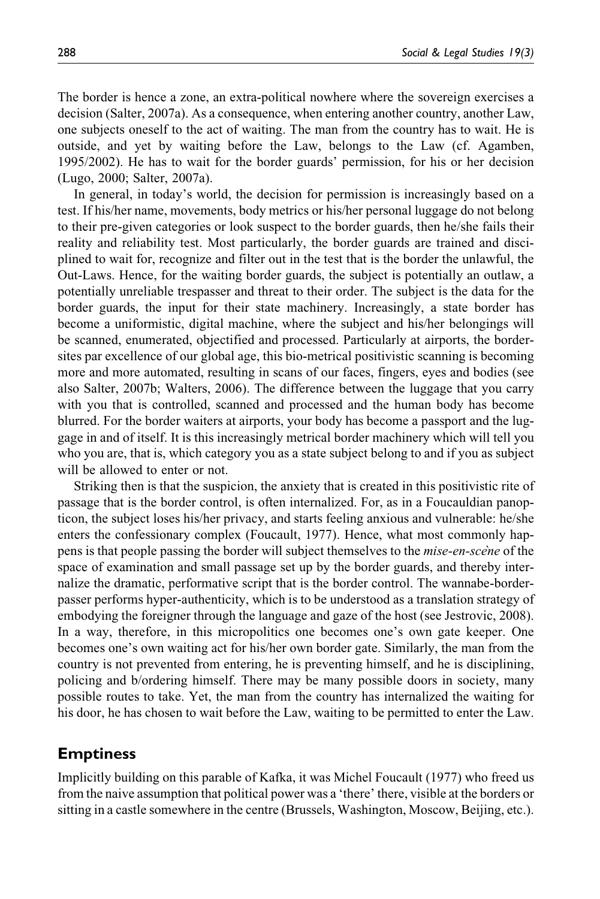The border is hence a zone, an extra-political nowhere where the sovereign exercises a decision (Salter, 2007a). As a consequence, when entering another country, another Law, one subjects oneself to the act of waiting. The man from the country has to wait. He is outside, and yet by waiting before the Law, belongs to the Law (cf. Agamben, 1995/2002). He has to wait for the border guards' permission, for his or her decision (Lugo, 2000; Salter, 2007a).

In general, in today's world, the decision for permission is increasingly based on a test. If his/her name, movements, body metrics or his/her personal luggage do not belong to their pre-given categories or look suspect to the border guards, then he/she fails their reality and reliability test. Most particularly, the border guards are trained and disciplined to wait for, recognize and filter out in the test that is the border the unlawful, the Out-Laws. Hence, for the waiting border guards, the subject is potentially an outlaw, a potentially unreliable trespasser and threat to their order. The subject is the data for the border guards, the input for their state machinery. Increasingly, a state border has become a uniformistic, digital machine, where the subject and his/her belongings will be scanned, enumerated, objectified and processed. Particularly at airports, the bordersites par excellence of our global age, this bio-metrical positivistic scanning is becoming more and more automated, resulting in scans of our faces, fingers, eyes and bodies (see also Salter, 2007b; Walters, 2006). The difference between the luggage that you carry with you that is controlled, scanned and processed and the human body has become blurred. For the border waiters at airports, your body has become a passport and the luggage in and of itself. It is this increasingly metrical border machinery which will tell you who you are, that is, which category you as a state subject belong to and if you as subject will be allowed to enter or not.

Striking then is that the suspicion, the anxiety that is created in this positivistic rite of passage that is the border control, is often internalized. For, as in a Foucauldian panopticon, the subject loses his/her privacy, and starts feeling anxious and vulnerable: he/she enters the confessionary complex (Foucault, 1977). Hence, what most commonly happens is that people passing the border will subject themselves to the *mise-en-scène* of the space of examination and small passage set up by the border guards, and thereby internalize the dramatic, performative script that is the border control. The wannabe-borderpasser performs hyper-authenticity, which is to be understood as a translation strategy of embodying the foreigner through the language and gaze of the host (see Jestrovic, 2008). In a way, therefore, in this micropolitics one becomes one's own gate keeper. One becomes one's own waiting act for his/her own border gate. Similarly, the man from the country is not prevented from entering, he is preventing himself, and he is disciplining, policing and b/ordering himself. There may be many possible doors in society, many possible routes to take. Yet, the man from the country has internalized the waiting for his door, he has chosen to wait before the Law, waiting to be permitted to enter the Law.

### Emptiness

Implicitly building on this parable of Kafka, it was Michel Foucault (1977) who freed us from the naive assumption that political power was a 'there' there, visible at the borders or sitting in a castle somewhere in the centre (Brussels, Washington, Moscow, Beijing, etc.).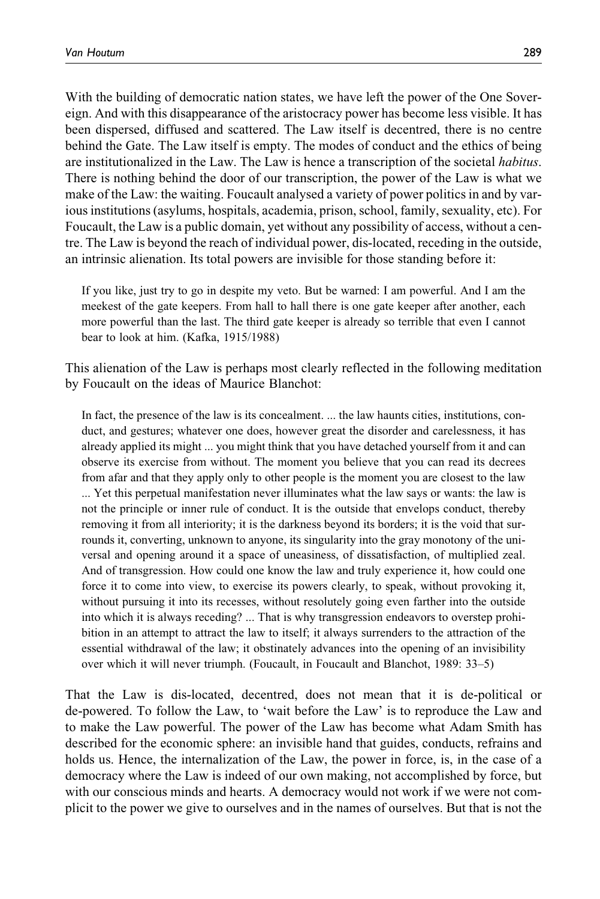With the building of democratic nation states, we have left the power of the One Sovereign. And with this disappearance of the aristocracy power has become less visible. It has been dispersed, diffused and scattered. The Law itself is decentred, there is no centre behind the Gate. The Law itself is empty. The modes of conduct and the ethics of being are institutionalized in the Law. The Law is hence a transcription of the societal habitus. There is nothing behind the door of our transcription, the power of the Law is what we make of the Law: the waiting. Foucault analysed a variety of power politics in and by various institutions (asylums, hospitals, academia, prison, school, family, sexuality, etc). For Foucault, the Law is a public domain, yet without any possibility of access, without a centre. The Law is beyond the reach of individual power, dis-located, receding in the outside, an intrinsic alienation. Its total powers are invisible for those standing before it:

If you like, just try to go in despite my veto. But be warned: I am powerful. And I am the meekest of the gate keepers. From hall to hall there is one gate keeper after another, each more powerful than the last. The third gate keeper is already so terrible that even I cannot bear to look at him. (Kafka, 1915/1988)

This alienation of the Law is perhaps most clearly reflected in the following meditation by Foucault on the ideas of Maurice Blanchot:

In fact, the presence of the law is its concealment. ... the law haunts cities, institutions, conduct, and gestures; whatever one does, however great the disorder and carelessness, it has already applied its might ... you might think that you have detached yourself from it and can observe its exercise from without. The moment you believe that you can read its decrees from afar and that they apply only to other people is the moment you are closest to the law ... Yet this perpetual manifestation never illuminates what the law says or wants: the law is not the principle or inner rule of conduct. It is the outside that envelops conduct, thereby removing it from all interiority; it is the darkness beyond its borders; it is the void that surrounds it, converting, unknown to anyone, its singularity into the gray monotony of the universal and opening around it a space of uneasiness, of dissatisfaction, of multiplied zeal. And of transgression. How could one know the law and truly experience it, how could one force it to come into view, to exercise its powers clearly, to speak, without provoking it, without pursuing it into its recesses, without resolutely going even farther into the outside into which it is always receding? ... That is why transgression endeavors to overstep prohibition in an attempt to attract the law to itself; it always surrenders to the attraction of the essential withdrawal of the law; it obstinately advances into the opening of an invisibility over which it will never triumph. (Foucault, in Foucault and Blanchot, 1989: 33–5)

That the Law is dis-located, decentred, does not mean that it is de-political or de-powered. To follow the Law, to 'wait before the Law' is to reproduce the Law and to make the Law powerful. The power of the Law has become what Adam Smith has described for the economic sphere: an invisible hand that guides, conducts, refrains and holds us. Hence, the internalization of the Law, the power in force, is, in the case of a democracy where the Law is indeed of our own making, not accomplished by force, but with our conscious minds and hearts. A democracy would not work if we were not complicit to the power we give to ourselves and in the names of ourselves. But that is not the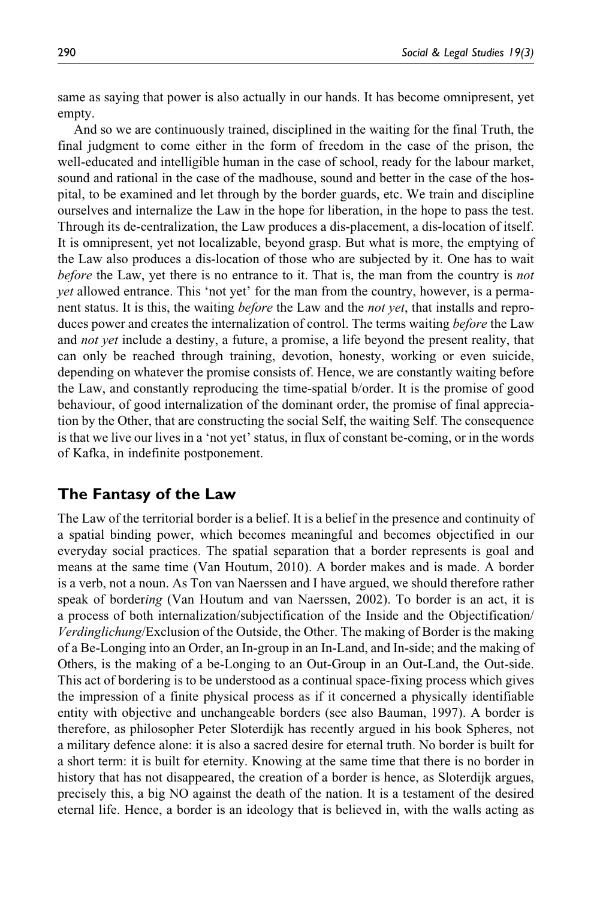same as saying that power is also actually in our hands. It has become omnipresent, yet empty.

And so we are continuously trained, disciplined in the waiting for the final Truth, the final judgment to come either in the form of freedom in the case of the prison, the well-educated and intelligible human in the case of school, ready for the labour market, sound and rational in the case of the madhouse, sound and better in the case of the hospital, to be examined and let through by the border guards, etc. We train and discipline ourselves and internalize the Law in the hope for liberation, in the hope to pass the test. Through its de-centralization, the Law produces a dis-placement, a dis-location of itself. It is omnipresent, yet not localizable, beyond grasp. But what is more, the emptying of the Law also produces a dis-location of those who are subjected by it. One has to wait before the Law, yet there is no entrance to it. That is, the man from the country is not yet allowed entrance. This 'not yet' for the man from the country, however, is a permanent status. It is this, the waiting *before* the Law and the *not yet*, that installs and reproduces power and creates the internalization of control. The terms waiting *before* the Law and *not yet* include a destiny, a future, a promise, a life beyond the present reality, that can only be reached through training, devotion, honesty, working or even suicide, depending on whatever the promise consists of. Hence, we are constantly waiting before the Law, and constantly reproducing the time-spatial b/order. It is the promise of good behaviour, of good internalization of the dominant order, the promise of final appreciation by the Other, that are constructing the social Self, the waiting Self. The consequence is that we live our lives in a 'not yet' status, in flux of constant be-coming, or in the words of Kafka, in indefinite postponement.

#### The Fantasy of the Law

The Law of the territorial border is a belief. It is a belief in the presence and continuity of a spatial binding power, which becomes meaningful and becomes objectified in our everyday social practices. The spatial separation that a border represents is goal and means at the same time (Van Houtum, 2010). A border makes and is made. A border is a verb, not a noun. As Ton van Naerssen and I have argued, we should therefore rather speak of bordering (Van Houtum and van Naerssen, 2002). To border is an act, it is a process of both internalization/subjectification of the Inside and the Objectification/ Verdinglichung/Exclusion of the Outside, the Other. The making of Border is the making of a Be-Longing into an Order, an In-group in an In-Land, and In-side; and the making of Others, is the making of a be-Longing to an Out-Group in an Out-Land, the Out-side. This act of bordering is to be understood as a continual space-fixing process which gives the impression of a finite physical process as if it concerned a physically identifiable entity with objective and unchangeable borders (see also Bauman, 1997). A border is therefore, as philosopher Peter Sloterdijk has recently argued in his book Spheres, not a military defence alone: it is also a sacred desire for eternal truth. No border is built for a short term: it is built for eternity. Knowing at the same time that there is no border in history that has not disappeared, the creation of a border is hence, as Sloterdijk argues, precisely this, a big NO against the death of the nation. It is a testament of the desired eternal life. Hence, a border is an ideology that is believed in, with the walls acting as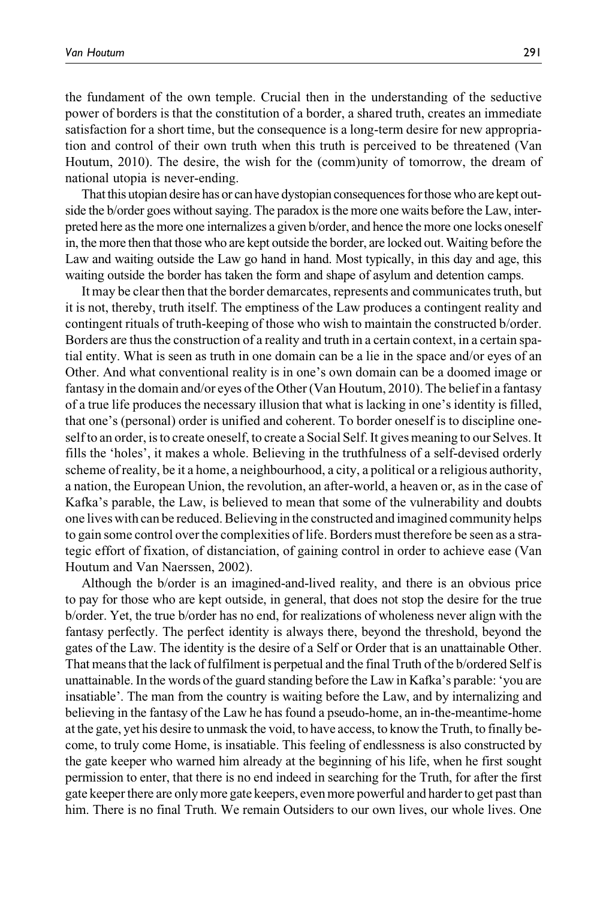the fundament of the own temple. Crucial then in the understanding of the seductive power of borders is that the constitution of a border, a shared truth, creates an immediate satisfaction for a short time, but the consequence is a long-term desire for new appropriation and control of their own truth when this truth is perceived to be threatened (Van Houtum, 2010). The desire, the wish for the (comm)unity of tomorrow, the dream of national utopia is never-ending.

Thatthis utopian desire has or can have dystopian consequences forthose who are kept outside the b/order goes without saying. The paradox is the more one waits before the Law, interpreted here as the more one internalizes a given b/order, and hence the more one locks oneself in, the more then that those who are kept outside the border, are locked out. Waiting before the Law and waiting outside the Law go hand in hand. Most typically, in this day and age, this waiting outside the border has taken the form and shape of asylum and detention camps.

It may be clear then that the border demarcates, represents and communicates truth, but it is not, thereby, truth itself. The emptiness of the Law produces a contingent reality and contingent rituals of truth-keeping of those who wish to maintain the constructed b/order. Borders are thus the construction of a reality and truth in a certain context, in a certain spatial entity. What is seen as truth in one domain can be a lie in the space and/or eyes of an Other. And what conventional reality is in one's own domain can be a doomed image or fantasy in the domain and/or eyes of the Other (Van Houtum, 2010). The belief in a fantasy of a true life produces the necessary illusion that what is lacking in one's identity is filled, that one's (personal) order is unified and coherent. To border oneself is to discipline oneself to an order, is to create oneself, to create a Social Self. It gives meaning to our Selves. It fills the 'holes', it makes a whole. Believing in the truthfulness of a self-devised orderly scheme of reality, be it a home, a neighbourhood, a city, a political or a religious authority, a nation, the European Union, the revolution, an after-world, a heaven or, as in the case of Kafka's parable, the Law, is believed to mean that some of the vulnerability and doubts one lives with can be reduced. Believing in the constructed and imagined community helps to gain some control over the complexities of life. Borders must therefore be seen as a strategic effort of fixation, of distanciation, of gaining control in order to achieve ease (Van Houtum and Van Naerssen, 2002).

Although the b/order is an imagined-and-lived reality, and there is an obvious price to pay for those who are kept outside, in general, that does not stop the desire for the true b/order. Yet, the true b/order has no end, for realizations of wholeness never align with the fantasy perfectly. The perfect identity is always there, beyond the threshold, beyond the gates of the Law. The identity is the desire of a Self or Order that is an unattainable Other. That means that the lack of fulfilment is perpetual and the final Truth of the b/ordered Self is unattainable. In the words of the guard standing before the Law in Kafka's parable: 'you are insatiable'. The man from the country is waiting before the Law, and by internalizing and believing in the fantasy of the Law he has found a pseudo-home, an in-the-meantime-home at the gate, yet his desire to unmask the void, to have access, to know the Truth, to finally become, to truly come Home, is insatiable. This feeling of endlessness is also constructed by the gate keeper who warned him already at the beginning of his life, when he first sought permission to enter, that there is no end indeed in searching for the Truth, for after the first gate keeper there are only more gate keepers, even more powerful and harder to get past than him. There is no final Truth. We remain Outsiders to our own lives, our whole lives. One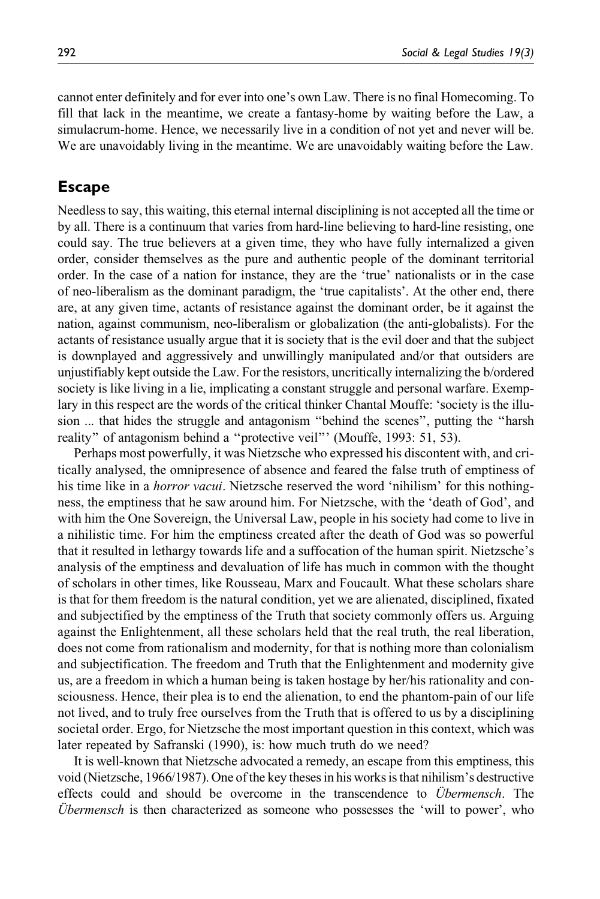cannot enter definitely and for ever into one's own Law. There is no final Homecoming. To fill that lack in the meantime, we create a fantasy-home by waiting before the Law, a simulacrum-home. Hence, we necessarily live in a condition of not yet and never will be. We are unavoidably living in the meantime. We are unavoidably waiting before the Law.

## Escape

Needless to say, this waiting, this eternal internal disciplining is not accepted all the time or by all. There is a continuum that varies from hard-line believing to hard-line resisting, one could say. The true believers at a given time, they who have fully internalized a given order, consider themselves as the pure and authentic people of the dominant territorial order. In the case of a nation for instance, they are the 'true' nationalists or in the case of neo-liberalism as the dominant paradigm, the 'true capitalists'. At the other end, there are, at any given time, actants of resistance against the dominant order, be it against the nation, against communism, neo-liberalism or globalization (the anti-globalists). For the actants of resistance usually argue that it is society that is the evil doer and that the subject is downplayed and aggressively and unwillingly manipulated and/or that outsiders are unjustifiably kept outside the Law. For the resistors, uncritically internalizing the b/ordered society is like living in a lie, implicating a constant struggle and personal warfare. Exemplary in this respect are the words of the critical thinker Chantal Mouffe: 'society is the illusion ... that hides the struggle and antagonism ''behind the scenes'', putting the ''harsh reality'' of antagonism behind a ''protective veil''' (Mouffe, 1993: 51, 53).

Perhaps most powerfully, it was Nietzsche who expressed his discontent with, and critically analysed, the omnipresence of absence and feared the false truth of emptiness of his time like in a *horror vacui*. Nietzsche reserved the word 'nihilism' for this nothingness, the emptiness that he saw around him. For Nietzsche, with the 'death of God', and with him the One Sovereign, the Universal Law, people in his society had come to live in a nihilistic time. For him the emptiness created after the death of God was so powerful that it resulted in lethargy towards life and a suffocation of the human spirit. Nietzsche's analysis of the emptiness and devaluation of life has much in common with the thought of scholars in other times, like Rousseau, Marx and Foucault. What these scholars share is that for them freedom is the natural condition, yet we are alienated, disciplined, fixated and subjectified by the emptiness of the Truth that society commonly offers us. Arguing against the Enlightenment, all these scholars held that the real truth, the real liberation, does not come from rationalism and modernity, for that is nothing more than colonialism and subjectification. The freedom and Truth that the Enlightenment and modernity give us, are a freedom in which a human being is taken hostage by her/his rationality and consciousness. Hence, their plea is to end the alienation, to end the phantom-pain of our life not lived, and to truly free ourselves from the Truth that is offered to us by a disciplining societal order. Ergo, for Nietzsche the most important question in this context, which was later repeated by Safranski (1990), is: how much truth do we need?

It is well-known that Nietzsche advocated a remedy, an escape from this emptiness, this void (Nietzsche, 1966/1987). One of the key theses in his works is that nihilism's destructive effects could and should be overcome in the transcendence to *Ubermensch*. The Ubermensch is then characterized as someone who possesses the 'will to power', who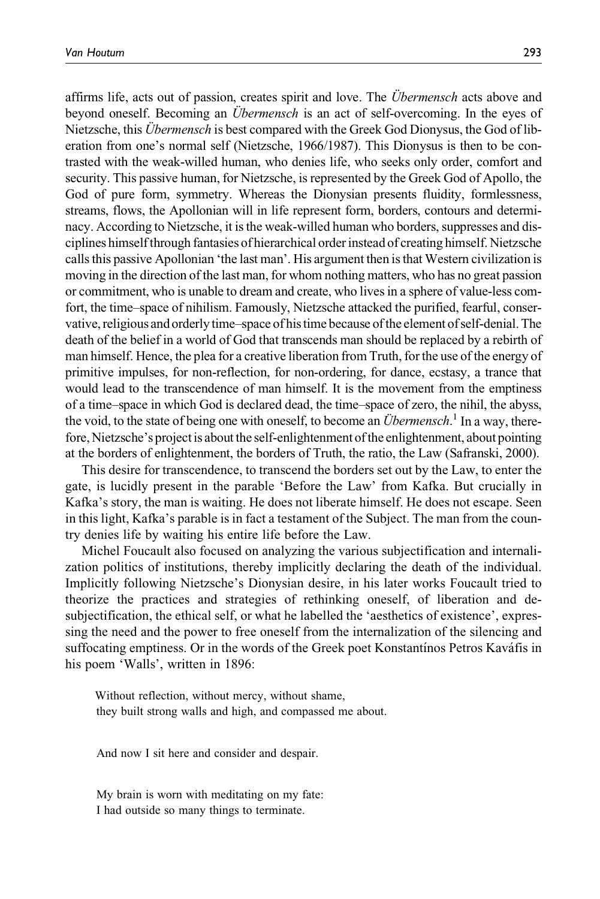affirms life, acts out of passion, creates spirit and love. The *Übermensch* acts above and beyond oneself. Becoming an *Ubermensch* is an act of self-overcoming. In the eyes of Nietzsche, this *Übermensch* is best compared with the Greek God Dionysus, the God of liberation from one's normal self (Nietzsche, 1966/1987). This Dionysus is then to be contrasted with the weak-willed human, who denies life, who seeks only order, comfort and security. This passive human, for Nietzsche, is represented by the Greek God of Apollo, the God of pure form, symmetry. Whereas the Dionysian presents fluidity, formlessness, streams, flows, the Apollonian will in life represent form, borders, contours and determinacy. According to Nietzsche, it is the weak-willed human who borders, suppresses and disciplines himself through fantasies of hierarchical order instead of creating himself. Nietzsche calls this passive Apollonian 'the last man'. His argument then is that Western civilization is moving in the direction of the last man, for whom nothing matters, who has no great passion or commitment, who is unable to dream and create, who lives in a sphere of value-less comfort, the time–space of nihilism. Famously, Nietzsche attacked the purified, fearful, conservative, religious and orderlytime–space of histime because ofthe element of self-denial. The death of the belief in a world of God that transcends man should be replaced by a rebirth of man himself. Hence, the plea for a creative liberation from Truth, for the use of the energy of primitive impulses, for non-reflection, for non-ordering, for dance, ecstasy, a trance that would lead to the transcendence of man himself. It is the movement from the emptiness of a time–space in which God is declared dead, the time–space of zero, the nihil, the abyss, the void, to the state of being one with oneself, to become an *Übermensch*.<sup>1</sup> In a way, therefore, Nietzsche's projectis about the self-enlightenment of the enlightenment, about pointing at the borders of enlightenment, the borders of Truth, the ratio, the Law (Safranski, 2000).

This desire for transcendence, to transcend the borders set out by the Law, to enter the gate, is lucidly present in the parable 'Before the Law' from Kafka. But crucially in Kafka's story, the man is waiting. He does not liberate himself. He does not escape. Seen in this light, Kafka's parable is in fact a testament of the Subject. The man from the country denies life by waiting his entire life before the Law.

Michel Foucault also focused on analyzing the various subjectification and internalization politics of institutions, thereby implicitly declaring the death of the individual. Implicitly following Nietzsche's Dionysian desire, in his later works Foucault tried to theorize the practices and strategies of rethinking oneself, of liberation and desubjectification, the ethical self, or what he labelled the 'aesthetics of existence', expressing the need and the power to free oneself from the internalization of the silencing and suffocating emptiness. Or in the words of the Greek poet Konstantinos Petros Kaváfis in his poem 'Walls', written in 1896:

Without reflection, without mercy, without shame, they built strong walls and high, and compassed me about.

And now I sit here and consider and despair.

My brain is worn with meditating on my fate: I had outside so many things to terminate.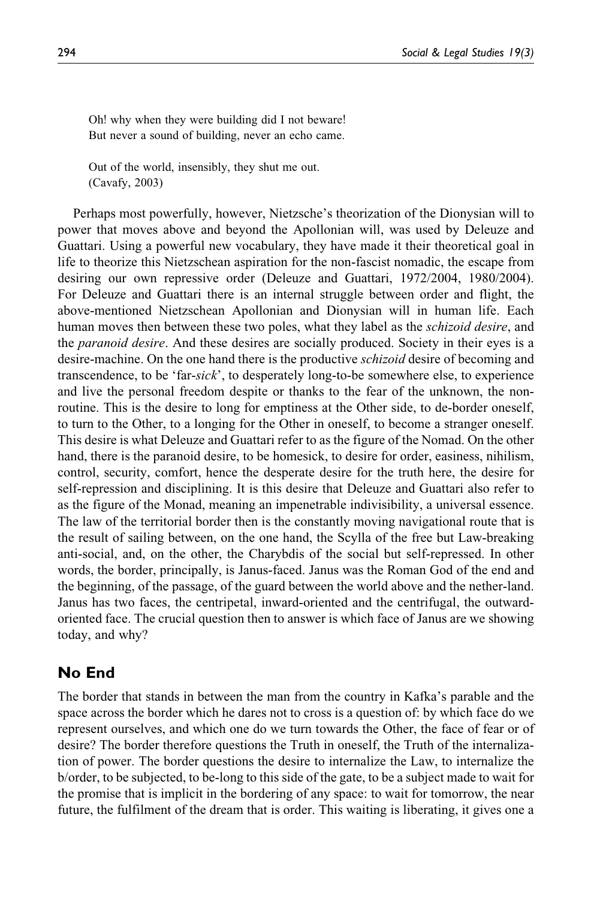Oh! why when they were building did I not beware! But never a sound of building, never an echo came.

Out of the world, insensibly, they shut me out. (Cavafy, 2003)

Perhaps most powerfully, however, Nietzsche's theorization of the Dionysian will to power that moves above and beyond the Apollonian will, was used by Deleuze and Guattari. Using a powerful new vocabulary, they have made it their theoretical goal in life to theorize this Nietzschean aspiration for the non-fascist nomadic, the escape from desiring our own repressive order (Deleuze and Guattari, 1972/2004, 1980/2004). For Deleuze and Guattari there is an internal struggle between order and flight, the above-mentioned Nietzschean Apollonian and Dionysian will in human life. Each human moves then between these two poles, what they label as the *schizoid desire*, and the *paranoid desire*. And these desires are socially produced. Society in their eyes is a desire-machine. On the one hand there is the productive *schizoid* desire of becoming and transcendence, to be 'far-sick', to desperately long-to-be somewhere else, to experience and live the personal freedom despite or thanks to the fear of the unknown, the nonroutine. This is the desire to long for emptiness at the Other side, to de-border oneself, to turn to the Other, to a longing for the Other in oneself, to become a stranger oneself. This desire is what Deleuze and Guattari refer to as the figure of the Nomad. On the other hand, there is the paranoid desire, to be homesick, to desire for order, easiness, nihilism, control, security, comfort, hence the desperate desire for the truth here, the desire for self-repression and disciplining. It is this desire that Deleuze and Guattari also refer to as the figure of the Monad, meaning an impenetrable indivisibility, a universal essence. The law of the territorial border then is the constantly moving navigational route that is the result of sailing between, on the one hand, the Scylla of the free but Law-breaking anti-social, and, on the other, the Charybdis of the social but self-repressed. In other words, the border, principally, is Janus-faced. Janus was the Roman God of the end and the beginning, of the passage, of the guard between the world above and the nether-land. Janus has two faces, the centripetal, inward-oriented and the centrifugal, the outwardoriented face. The crucial question then to answer is which face of Janus are we showing today, and why?

## No End

The border that stands in between the man from the country in Kafka's parable and the space across the border which he dares not to cross is a question of: by which face do we represent ourselves, and which one do we turn towards the Other, the face of fear or of desire? The border therefore questions the Truth in oneself, the Truth of the internalization of power. The border questions the desire to internalize the Law, to internalize the b/order, to be subjected, to be-long to this side of the gate, to be a subject made to wait for the promise that is implicit in the bordering of any space: to wait for tomorrow, the near future, the fulfilment of the dream that is order. This waiting is liberating, it gives one a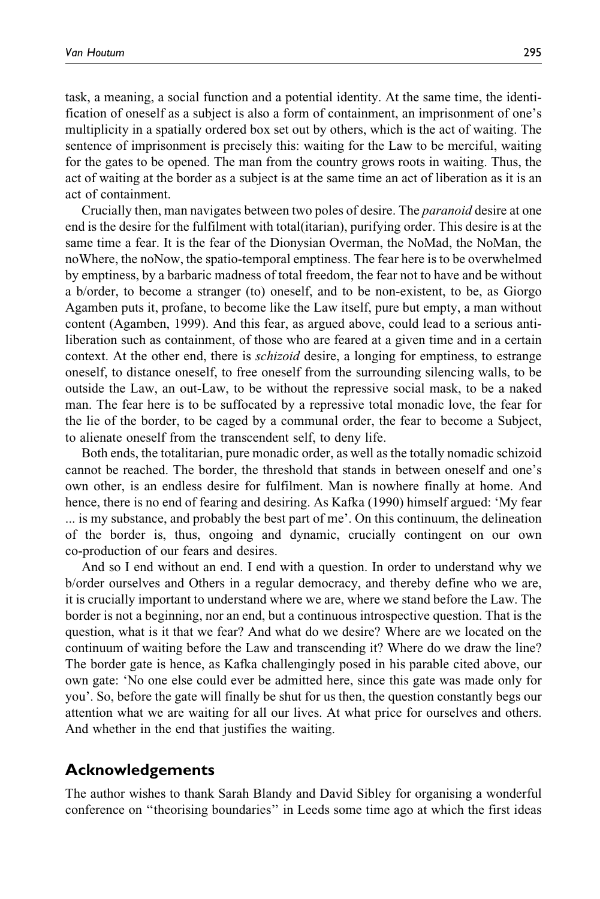task, a meaning, a social function and a potential identity. At the same time, the identification of oneself as a subject is also a form of containment, an imprisonment of one's multiplicity in a spatially ordered box set out by others, which is the act of waiting. The sentence of imprisonment is precisely this: waiting for the Law to be merciful, waiting for the gates to be opened. The man from the country grows roots in waiting. Thus, the act of waiting at the border as a subject is at the same time an act of liberation as it is an act of containment.

Crucially then, man navigates between two poles of desire. The paranoid desire at one end is the desire for the fulfilment with total(itarian), purifying order. This desire is at the same time a fear. It is the fear of the Dionysian Overman, the NoMad, the NoMan, the noWhere, the noNow, the spatio-temporal emptiness. The fear here is to be overwhelmed by emptiness, by a barbaric madness of total freedom, the fear not to have and be without a b/order, to become a stranger (to) oneself, and to be non-existent, to be, as Giorgo Agamben puts it, profane, to become like the Law itself, pure but empty, a man without content (Agamben, 1999). And this fear, as argued above, could lead to a serious antiliberation such as containment, of those who are feared at a given time and in a certain context. At the other end, there is schizoid desire, a longing for emptiness, to estrange oneself, to distance oneself, to free oneself from the surrounding silencing walls, to be outside the Law, an out-Law, to be without the repressive social mask, to be a naked man. The fear here is to be suffocated by a repressive total monadic love, the fear for the lie of the border, to be caged by a communal order, the fear to become a Subject, to alienate oneself from the transcendent self, to deny life.

Both ends, the totalitarian, pure monadic order, as well as the totally nomadic schizoid cannot be reached. The border, the threshold that stands in between oneself and one's own other, is an endless desire for fulfilment. Man is nowhere finally at home. And hence, there is no end of fearing and desiring. As Kafka (1990) himself argued: 'My fear ... is my substance, and probably the best part of me'. On this continuum, the delineation of the border is, thus, ongoing and dynamic, crucially contingent on our own co-production of our fears and desires.

And so I end without an end. I end with a question. In order to understand why we b/order ourselves and Others in a regular democracy, and thereby define who we are, it is crucially important to understand where we are, where we stand before the Law. The border is not a beginning, nor an end, but a continuous introspective question. That is the question, what is it that we fear? And what do we desire? Where are we located on the continuum of waiting before the Law and transcending it? Where do we draw the line? The border gate is hence, as Kafka challengingly posed in his parable cited above, our own gate: 'No one else could ever be admitted here, since this gate was made only for you'. So, before the gate will finally be shut for us then, the question constantly begs our attention what we are waiting for all our lives. At what price for ourselves and others. And whether in the end that justifies the waiting.

#### Acknowledgements

The author wishes to thank Sarah Blandy and David Sibley for organising a wonderful conference on ''theorising boundaries'' in Leeds some time ago at which the first ideas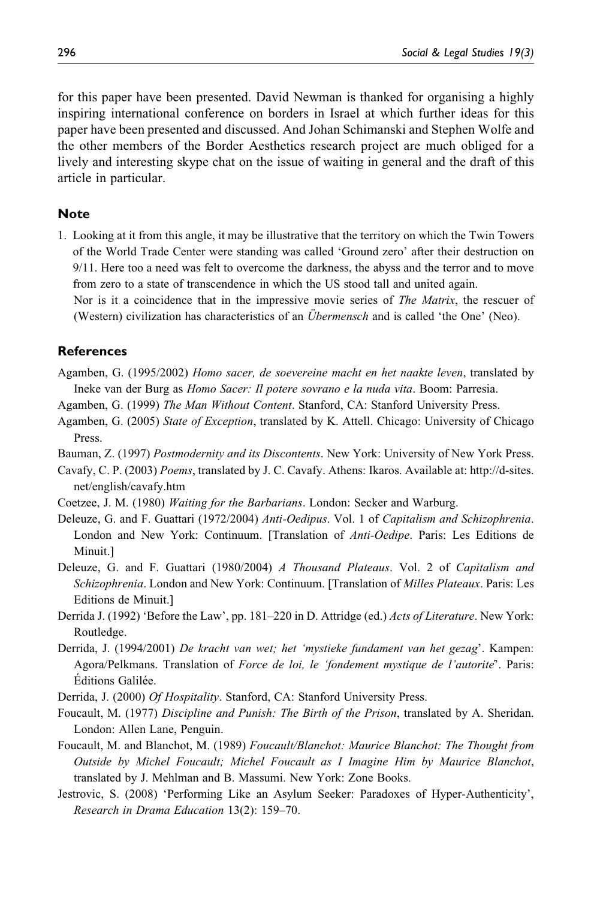for this paper have been presented. David Newman is thanked for organising a highly inspiring international conference on borders in Israel at which further ideas for this paper have been presented and discussed. And Johan Schimanski and Stephen Wolfe and the other members of the Border Aesthetics research project are much obliged for a lively and interesting skype chat on the issue of waiting in general and the draft of this article in particular.

#### **Note**

1. Looking at it from this angle, it may be illustrative that the territory on which the Twin Towers of the World Trade Center were standing was called 'Ground zero' after their destruction on 9/11. Here too a need was felt to overcome the darkness, the abyss and the terror and to move from zero to a state of transcendence in which the US stood tall and united again.

Nor is it a coincidence that in the impressive movie series of The Matrix, the rescuer of (Western) civilization has characteristics of an  $Ü$  bermensch and is called 'the One' (Neo).

#### **References**

- Agamben, G. (1995/2002) Homo sacer, de soevereine macht en het naakte leven, translated by Ineke van der Burg as Homo Sacer: Il potere sovrano e la nuda vita. Boom: Parresia.
- Agamben, G. (1999) The Man Without Content. Stanford, CA: Stanford University Press.
- Agamben, G. (2005) State of Exception, translated by K. Attell. Chicago: University of Chicago Press.
- Bauman, Z. (1997) Postmodernity and its Discontents. New York: University of New York Press.
- Cavafy, C. P. (2003) Poems, translated by J. C. Cavafy. Athens: Ikaros. Available at: http://d-sites. net/english/cavafy.htm
- Coetzee, J. M. (1980) Waiting for the Barbarians. London: Secker and Warburg.
- Deleuze, G. and F. Guattari (1972/2004) Anti-Oedipus. Vol. 1 of Capitalism and Schizophrenia. London and New York: Continuum. [Translation of Anti-Oedipe. Paris: Les Editions de Minuit.]
- Deleuze, G. and F. Guattari (1980/2004) A Thousand Plateaus. Vol. 2 of Capitalism and Schizophrenia. London and New York: Continuum. [Translation of *Milles Plateaux*. Paris: Les Editions de Minuit.]
- Derrida J. (1992) 'Before the Law', pp. 181–220 in D. Attridge (ed.) Acts of Literature. New York: Routledge.
- Derrida, J. (1994/2001) De kracht van wet; het 'mystieke fundament van het gezag'. Kampen: Agora/Pelkmans. Translation of Force de loi, le 'fondement mystique de l'autorité'. Paris: Éditions Galilée.
- Derrida, J. (2000) Of Hospitality. Stanford, CA: Stanford University Press.
- Foucault, M. (1977) Discipline and Punish: The Birth of the Prison, translated by A. Sheridan. London: Allen Lane, Penguin.
- Foucault, M. and Blanchot, M. (1989) Foucault/Blanchot: Maurice Blanchot: The Thought from Outside by Michel Foucault; Michel Foucault as I Imagine Him by Maurice Blanchot, translated by J. Mehlman and B. Massumi. New York: Zone Books.
- Jestrovic, S. (2008) 'Performing Like an Asylum Seeker: Paradoxes of Hyper-Authenticity', Research in Drama Education 13(2): 159–70.